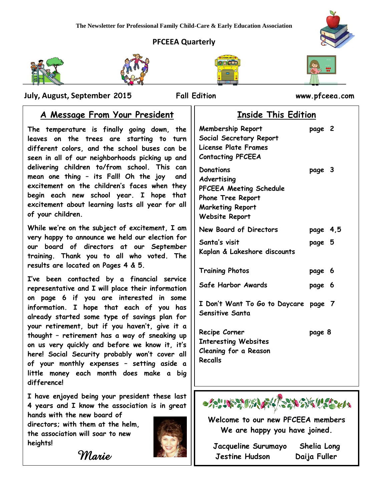# **PFCEEA Quarterly**



j









 **July, August, September 2015 Fall Edition www.pfceea.com**

# **A Message From Your President**

**The temperature is finally going down, the leaves on the trees are starting to turn different colors, and the school buses can be seen in all of our neighborhoods picking up and delivering children to/from school. This can mean one thing – its Fall! Oh the joy and excitement on the children's faces when they begin each new school year. I hope that excitement about learning lasts all year for all of your children.** 

**While we're on the subject of excitement, I am very happy to announce we held our election for our board of directors at our September training. Thank you to all who voted. The results are located on Pages 4 & 5.**

**I've been contacted by a financial service representative and I will place their information on page 6 if you are interested in some information. I hope that each of you has already started some type of savings plan for your retirement, but if you haven't, give it a thought – retirement has a way of sneaking up on us very quickly and before we know it, it's here! Social Security probably won't cover all of your monthly expenses – setting aside a little money each month does make a big difference!**

**I have enjoyed being your president these last 4 years and I know the association is in great hands with the new board of** 

**directors; with them at the helm, the association will soar to new heights!**

 *Marie* 



|  | <b>Inside This Edition</b> |
|--|----------------------------|
|  |                            |

| <b>Membership Report</b><br>Social Secretary Report<br>License Plate Frames<br><b>Contacting PFCEEA</b>                             | page 2   |  |
|-------------------------------------------------------------------------------------------------------------------------------------|----------|--|
| <b>Donations</b><br>Advertising<br>PFCEEA Meeting Schedule<br>Phone Tree Report<br><b>Marketing Report</b><br><b>Website Report</b> | page 3   |  |
| New Board of Directors                                                                                                              | page 4,5 |  |
| Santa's visit<br>Kaplan & Lakeshore discounts                                                                                       | page 5   |  |
| <b>Training Photos</b>                                                                                                              | page 6   |  |
| Safe Harbor Awards                                                                                                                  | page 6   |  |
| I Don't Want To Go to Daycare page 7<br><b>Sensitive Santa</b>                                                                      |          |  |
| Recipe Corner<br><b>Interesting Websites</b><br>Cleaning for a Reason<br>Recalls                                                    | page 8   |  |



**Welcome to our new PFCEEA members We are happy you have joined.**

| Jacqueline Surumayo | Shelia Long  |
|---------------------|--------------|
| Jestine Hudson      | Daija Fuller |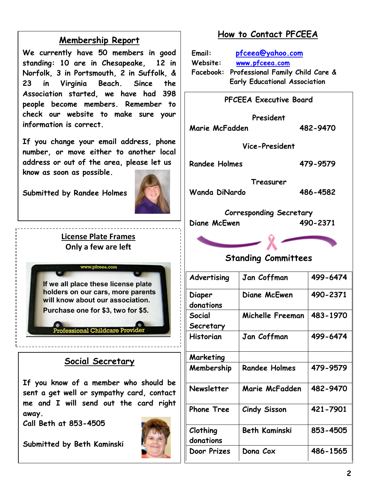# **Membership Report**

**We currently have 50 members in good standing: 10 are in Chesapeake, 12 in Norfolk, 3 in Portsmouth, 2 in Suffolk, & 23 in Virginia Beach. Since the Association started, we have had 398 people become members. Remember to check our website to make sure your information is correct.** 

**If you change your email address, phone number, or move either to another local address or out of the area, please let us know as soon as possible.**

**Submitted by Randee Holmes**



# **License Plate Frames Only a few are left**

If we all place these license plate holders on our cars, more parents will know about our association. Purchase one for \$3, two for \$5.

# **Social Secretary**

**Professional Childcare Pro** 

**If you know of a member who should be sent a get well or sympathy card, contact me and I will send out the card right away.**

**Call Beth at 853-4505**

**Submitted by Beth Kaminski**



**Clothing donations**

# **How to Contact PFCEEA**

**Email: [pfceea@yahoo.com](mailto:pfceea@yahoo.com) Website: [www.pfceea.com](http://www.pfceea.com/) Facebook: Professional Family Child Care & Early Educational Association**

| <b>PFCEEA Executive Board</b>                              |                      |          |  |  |
|------------------------------------------------------------|----------------------|----------|--|--|
| President<br>Marie McFadden                                |                      | 482-9470 |  |  |
| Vice-President                                             |                      |          |  |  |
| <b>Randee Holmes</b>                                       |                      | 479-9579 |  |  |
|                                                            |                      |          |  |  |
| Treasurer<br>Wanda DiNardo                                 |                      | 486-4582 |  |  |
| <b>Corresponding Secretary</b><br>490-2371<br>Diane McEwen |                      |          |  |  |
|                                                            |                      |          |  |  |
| <b>Standing Committees</b>                                 |                      |          |  |  |
| Advertising                                                | Jan Coffman          | 499-6474 |  |  |
| Diaper<br>donations                                        | Diane McEwen         | 490-2371 |  |  |
| Social                                                     | Michelle Freeman     | 483-1970 |  |  |
| Secretary                                                  |                      |          |  |  |
| Historian                                                  | Jan Coffman          | 499-6474 |  |  |
| Marketing                                                  |                      |          |  |  |
| Membership                                                 | <b>Randee Holmes</b> | 479-9579 |  |  |
| <b>Newsletter</b>                                          | Marie McFadden       | 482-9470 |  |  |
| <b>Phone Tree</b>                                          | <b>Cindy Sisson</b>  | 421-7901 |  |  |

**Beth Kaminski 853-4505**

**Door Prizes Dona Cox 486-1565**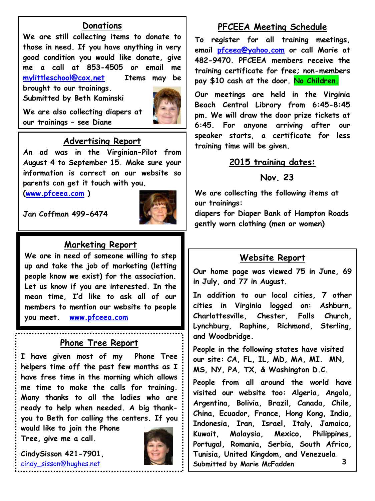# **Donations**

**We are still collecting items to donate to those in need. If you have anything in very good condition you would like donate, give me a call at 853-4505 or email me [mylittleschool@cox.net](mailto:mylittleschool@cox.net) Items may be brought to our trainings.**

**Submitted by Beth Kaminski**



**We are also collecting diapers at our trainings – see Diane**

# **Advertising Report**

**An ad was in the Virginian-Pilot from August 4 to September 15. Make sure your information is correct on our website so parents can get it touch with you.** 

**[\(www.pfceea.com](http://www.pfceea.com/) )**



**Jan Coffman 499-6474**

# **Marketing Report**

**We are in need of someone willing to step up and take the job of marketing (letting people know we exist) for the association. Let us know if you are interested. In the mean time, I'd like to ask all of our members to mention our website to people you meet. [www.pfceea.com](http://www.pfceea.com/)**

### **Phone Tree Report**

**I have given most of my Phone Tree helpers time off the past few months as I have free time in the morning which allows me time to make the calls for training. Many thanks to all the ladies who are ready to help when needed. A big thankyou to Beth for calling the centers. If you** 

**would like to join the Phone Tree, give me a call.** 

**CindySisson 421-7901,**  [cindy\\_sisson@hughes.net](mailto:cindy_sisson@hughes.net)

**Phone Tree Chairwoman**



# **PFCEEA Meeting Schedule**

**To register for all training meetings, email [pfceea@yahoo.com](mailto:pfceea@yahoo.com) or call Marie at 482-9470. PFCEEA members receive the training certificate for free; non-members pay \$10 cash at the door. No Children.**

**Our meetings are held in the Virginia Beach Central Library from 6:45-8:45 pm. We will draw the door prize tickets at 6:45. For anyone arriving after our speaker starts, a certificate for less training time will be given.** 

### **2015 training dates:**

# **Nov. 23**

**We are collecting the following items at our trainings:**

**diapers for Diaper Bank of Hampton Roads gently worn clothing (men or women)**

### **Website Report**

**Our home page was viewed 75 in June, 69 in July, and 77 in August.** 

**In addition to our local cities, 7 other cities in Virginia logged on: Ashburn, Charlottesville, Chester, Falls Church, Lynchburg, Raphine, Richmond, Sterling, and Woodbridge.** 

**People in the following states have visited our site: CA, FL, IL, MD, MA, MI. MN, MS, NY, PA, TX, & Washington D.C.** 

**People from all around the world have visited our website too: Algeria, Angola, Argentina, Bolivia, Brazil, Canada, Chile, China, Ecuador, France, Hong Kong, India, Indonesia, Iran, Israel, Italy, Jamaica, Kuwait, Malaysia, Mexico, Philippines, Portugal, Romania, Serbia, South Africa, Tunisia, United Kingdom, and Venezuela. Submitted by Marie McFadden 3**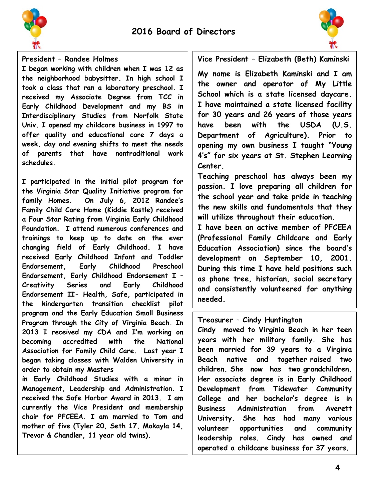



### **President – Randee Holmes**

**I began working with children when I was 12 as the neighborhood babysitter. In high school I took a class that ran a laboratory preschool. I received my Associate Degree from TCC in Early Childhood Development and my BS in Interdisciplinary Studies from Norfolk State Univ. I opened my childcare business in 1997 to offer quality and educational care 7 days a week, day and evening shifts to meet the needs of parents that have nontraditional work schedules.**

**I participated in the initial pilot program for the Virginia Star Quality Initiative program for family Homes. On July 6, 2012 Randee's Family Child Care Home (Kiddie Kastle) received a Four Star Rating from Virginia Early Childhood Foundation. I attend numerous conferences and trainings to keep up to date on the ever changing field of Early Childhood. I have received Early Childhood Infant and Toddler Endorsement, Early Childhood Preschool Endorsement, Early Childhood Endorsement I – Creativity Series and Early Childhood Endorsement II- Health, Safe, participated in the kindergarten transition checklist pilot program and the Early Education Small Business Program through the City of Virginia Beach. In 2013 I received my CDA and I'm working on becoming accredited with the National Association for Family Child Care. Last year I began taking classes with Walden University in order to obtain my Masters**

**in Early Childhood Studies with a minor in Management, Leadership and Administration. I received the Safe Harbor Award in 2013. I am currently the Vice President and membership chair for PFCEEA. I am married to Tom and mother of five (Tyler 20, Seth 17, Makayla 14, Trevor & Chandler, 11 year old twins).** 

**Vice President – Elizabeth (Beth) Kaminski**

**My name is Elizabeth Kaminski and I am the owner and operator of My Little School which is a state licensed daycare. I have maintained a state licensed facility for 30 years and 26 years of those years have been with the USDA (U.S. Department of Agriculture). Prior to opening my own business I taught "Young 4's" for six years at St. Stephen Learning Center.**

**Teaching preschool has always been my passion. I love preparing all children for the school year and take pride in teaching the new skills and fundamentals that they will utilize throughout their education.** 

**I have been an active member of PFCEEA (Professional Family Childcare and Early Education Association) since the board's development on September 10, 2001. During this time I have held positions such as phone tree, historian, social secretary and consistently volunteered for anything needed.** 

**I've been married for 38 years and have** 

#### **one beautiful daughter. I was born and Treasurer – Cindy Huntington**

Cindy moved to Virginia Beach in her teen **Norfolk, Virginia. years with her military family. She has been married for 39 years to a Virginia Beach native and together raised two children. She now has two grandchildren. Her associate degree is in Early Childhood Development from Tidewater Community College and her bachelor's degree is in Business Administration from Averett University. She has had many various volunteer opportunities and community leadership roles. Cindy has owned and operated a childcare business for 37 years.**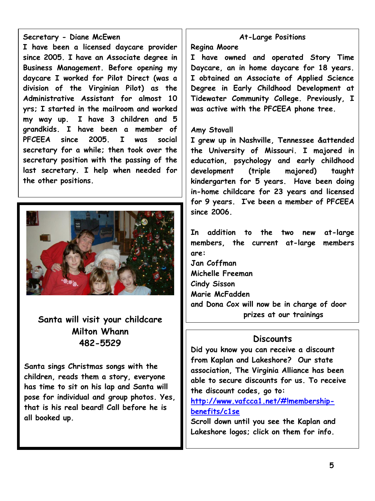### **Secretary - Diane McEwen**

**I have been a licensed daycare provider since 2005. I have an Associate degree in Business Management. Before opening my daycare I worked for Pilot Direct (was a division of the Virginian Pilot) as the Administrative Assistant for almost 10 yrs; I started in the mailroom and worked my way up. I have 3 children and 5 grandkids. I have been a member of PFCEEA since 2005. I was social secretary for a while; then took over the secretary position with the passing of the last secretary. I help when needed for the other positions.**



**Santa will visit your childcare Milton Whann 482-5529**

**Santa sings Christmas songs with the children, reads them a story, everyone has time to sit on his lap and Santa will pose for individual and group photos. Yes, that is his real beard! Call before he is all booked up.**

### **At-Large Positions**

#### **Regina Moore**

**I have owned and operated Story Time Daycare, an in home daycare for 18 years. I obtained an Associate of Applied Science Degree in Early Childhood Development at Tidewater Community College. Previously, I was active with the PFCEEA phone tree.**

#### **Amy Stovall**

**I grew up in Nashville, Tennessee &attended the University of Missouri. I majored in education, psychology and early childhood development (triple majored) taught kindergarten for 5 years. Have been doing in-home childcare for 23 years and licensed for 9 years. I've been a member of PFCEEA since 2006.**

**In addition to the two new at-large members, the current at-large members are: Jan Coffman**

**Michelle Freeman Cindy Sisson Marie McFadden**

**and Dona Cox will now be in charge of door prizes at our trainings**

### **Discounts**

**Did you know you can receive a discount from Kaplan and Lakeshore? Our state association, The Virginia Alliance has been able to secure discounts for us. To receive the discount codes, go to:**

**[http://www.vafcca1.net/#!membership](http://www.vafcca1.net/#!membership-benefits/c1se)[benefits/c1se](http://www.vafcca1.net/#!membership-benefits/c1se)**

**Scroll down until you see the Kaplan and Lakeshore logos; click on them for info.**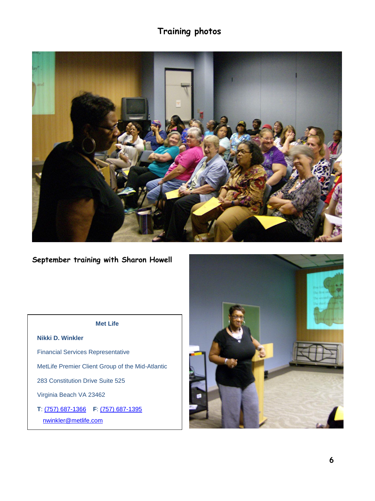# **Training photos**



**September training with Sharon Howell**

#### **Met Life**

**Nikki D. Winkler** Financial Services Representative MetLife Premier Client Group of the Mid-Atlantic 283 Constitution Drive Suite 525 Virginia Beach VA 23462 **T**: [\(757\) 687-1366](tel:%28757%29%20687-1366) **F**: [\(757\) 687-1395](tel:%28757%29%20687-1395) [nwinkler@metlife.com](mailto:nwinkler@metlife.com)

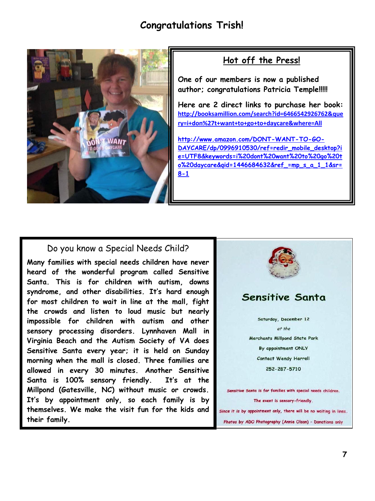# **Congratulations Trish!**



# **Hot off the Press!**

**One of our members is now a published author; congratulations Patricia Temple!!!!!**

**Here are 2 direct links to purchase her book: [http://booksamillion.com/search?id=6466542926762&que](http://booksamillion.com/search?id=6466542926762&query=i+don%27t+want+to+go+to+daycare&where=All) [ry=i+don%27t+want+to+go+to+daycare&where=All](http://booksamillion.com/search?id=6466542926762&query=i+don%27t+want+to+go+to+daycare&where=All)**

**[http://www.amazon.com/DONT-WANT-TO-GO-](http://www.amazon.com/DONT-WANT-TO-GO-DAYCARE/dp/0996910530/ref=redir_mobile_desktop?ie=UTF8&keywords=i%20dont%20want%20to%20go%20to%20daycare&qid=1446684632&ref_=mp_s_a_1_1&sr=8-1)[DAYCARE/dp/0996910530/ref=redir\\_mobile\\_desktop?i](http://www.amazon.com/DONT-WANT-TO-GO-DAYCARE/dp/0996910530/ref=redir_mobile_desktop?ie=UTF8&keywords=i%20dont%20want%20to%20go%20to%20daycare&qid=1446684632&ref_=mp_s_a_1_1&sr=8-1) [e=UTF8&keywords=i%20dont%20want%20to%20go%20t](http://www.amazon.com/DONT-WANT-TO-GO-DAYCARE/dp/0996910530/ref=redir_mobile_desktop?ie=UTF8&keywords=i%20dont%20want%20to%20go%20to%20daycare&qid=1446684632&ref_=mp_s_a_1_1&sr=8-1) [o%20daycare&qid=1446684632&ref\\_=mp\\_s\\_a\\_1\\_1&sr=](http://www.amazon.com/DONT-WANT-TO-GO-DAYCARE/dp/0996910530/ref=redir_mobile_desktop?ie=UTF8&keywords=i%20dont%20want%20to%20go%20to%20daycare&qid=1446684632&ref_=mp_s_a_1_1&sr=8-1) [8-1](http://www.amazon.com/DONT-WANT-TO-GO-DAYCARE/dp/0996910530/ref=redir_mobile_desktop?ie=UTF8&keywords=i%20dont%20want%20to%20go%20to%20daycare&qid=1446684632&ref_=mp_s_a_1_1&sr=8-1)**

### Do you know a Special Needs Child?

**Virginia Beach and the Autism Society of VA does Merchants Millpond State Park Many families with special needs children have never heard of the wonderful program called Sensitive Santa. This is for children with autism, downs syndrome, and other disabilities. It's hard enough for most children to wait in line at the mall, fight the crowds and listen to loud music but nearly impossible for children with autism and other sensory processing disorders. Lynnhaven Mall in Sensitive Santa every year; it is held on Sunday morning when the mall is closed. Three families are allowed in every 30 minutes. Another Sensitive Santa is 100% sensory friendly. It's at the Millpond (Gatesville, NC) without music or crowds. It's by appointment only, so each family is by themselves. We make the visit fun for the kids and their family.** 

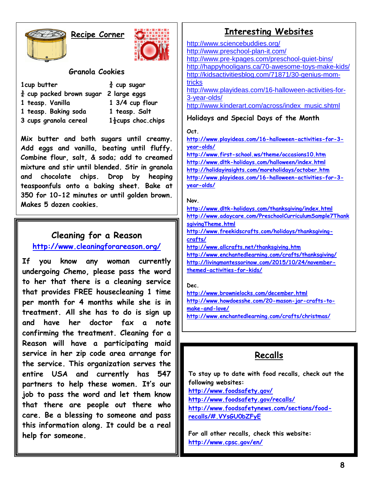# **Recipe Corner**



### **Granola Cookies**

| 1cup butter                                       | $\frac{3}{4}$ cup sugar        |
|---------------------------------------------------|--------------------------------|
| $\frac{3}{4}$ cup packed brown sugar 2 large eggs |                                |
| 1 teasp. Vanilla                                  | 1 3/4 cup flour                |
| 1 teasp. Baking soda                              | 1 teasp. Salt                  |
| 3 cups granola cereal                             | $1\frac{1}{2}$ cups choc.chips |

**Mix butter and both sugars until creamy. Add eggs and vanilla, beating until fluffy. Combine flour, salt, & soda; add to creamed mixture and stir until blended. Stir in granola and chocolate chips. Drop by heaping teaspoonfuls onto a baking sheet. Bake at 350 for 10-12 minutes or until golden brown. Makes 5 dozen cookies.**

# **Cleaning for a Reason**

# **<http://www.cleaningforareason.org/>**

**If you know any woman currently undergoing Chemo, please pass the word to her that there is a cleaning service that provides FREE housecleaning 1 time per month for 4 months while she is in treatment. All she has to do is sign up and have her doctor fax a note confirming the treatment. Cleaning for a Reason will have a participating maid service in her zip code area arrange for the service. This organization serves the entire USA and currently has 547 partners to help these women. It's our job to pass the word and let them know that there are people out there who care. Be a blessing to someone and pass this information along. It could be a real help for someone.**

# **Interesting Websites**

<http://www.sciencebuddies.org/> <http://www.preschool-plan-it.com/> <http://www.pre-kpages.com/preschool-quiet-bins/> <http://happyhooligans.ca/70-awesome-toys-make-kids/> [http://kidsactivitiesblog.com/71871/30-genius-mom](http://kidsactivitiesblog.com/71871/30-genius-mom-tricks)[tricks](http://kidsactivitiesblog.com/71871/30-genius-mom-tricks) [http://www.playideas.com/16-halloween-activities-for-](http://www.playideas.com/16-halloween-activities-for-3-year-olds/)[3-year-olds/](http://www.playideas.com/16-halloween-activities-for-3-year-olds/) [http://www.kinderart.com/across/index\\_music.shtml](http://www.kinderart.com/across/index_music.shtml) **Holidays and Special Days of the Month**

#### **Oct.**

**[http://www.playideas.com/16-halloween-activities-for-3](http://www.playideas.com/16-halloween-activities-for-3-year-olds/) [year-olds/](http://www.playideas.com/16-halloween-activities-for-3-year-olds/)**

**<http://www.first-school.ws/theme/occasions10.htm> <http://www.dltk-holidays.com/halloween/index.html> <http://holidayinsights.com/moreholidays/october.htm> [http://www.playideas.com/16-halloween-activities-for-3](http://www.playideas.com/16-halloween-activities-for-3-year-olds/) [year-olds/](http://www.playideas.com/16-halloween-activities-for-3-year-olds/)**

#### **Nov.**

**<http://www.dltk-holidays.com/thanksgiving/index.html> [http://www.adaycare.com/PreschoolCurriculumSample7Thank](http://www.adaycare.com/PreschoolCurriculumSample7ThanksgivingTheme.html) [sgivingTheme.html](http://www.adaycare.com/PreschoolCurriculumSample7ThanksgivingTheme.html)**

**[http://www.freekidscrafts.com/holidays/thanksgiving](http://www.freekidscrafts.com/holidays/thanksgiving-crafts/)[crafts/](http://www.freekidscrafts.com/holidays/thanksgiving-crafts/)**

**<http://www.allcrafts.net/thanksgiving.htm>**

**<http://www.enchantedlearning.com/crafts/thanksgiving/> [http://livingmontessorinow.com/2015/10/24/november](http://livingmontessorinow.com/2015/10/24/november-themed-activities-for-kids/)[themed-activities-for-kids/](http://livingmontessorinow.com/2015/10/24/november-themed-activities-for-kids/)**

#### **Dec.**

**<http://www.brownielocks.com/december.html> [http://www.howdoesshe.com/20-mason-jar-crafts-to](http://www.howdoesshe.com/20-mason-jar-crafts-to-make-and-love/)[make-and-love/](http://www.howdoesshe.com/20-mason-jar-crafts-to-make-and-love/) <http://www.enchantedlearning.com/crafts/christmas/>**

# **Recalls**

**To stay up to date with food recalls, check out the following websites:**

**<http://www.foodsafety.gov/>**

**<http://www.foodsafety.gov/recalls/>**

**[http://www.foodsafetynews.com/sections/food](http://www.foodsafetynews.com/sections/food-recalls/#.VYsGU0bZFyE)[recalls/#.VYsGU0bZFyE](http://www.foodsafetynews.com/sections/food-recalls/#.VYsGU0bZFyE)**

**For all other recalls, check this website: <http://www.cpsc.gov/en/>**